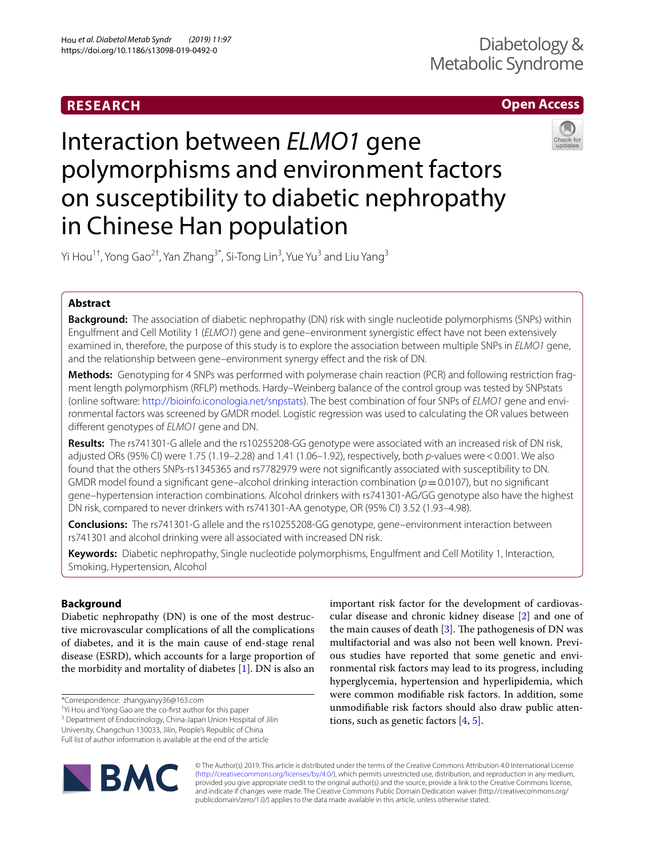# **RESEARCH**

# **Open Access**



# Interaction between *ELMO1* gene polymorphisms and environment factors on susceptibility to diabetic nephropathy in Chinese Han population

Yi Hou<sup>1†</sup>, Yong Gao<sup>2†</sup>, Yan Zhang<sup>3\*</sup>, Si-Tong Lin<sup>3</sup>, Yue Yu<sup>3</sup> and Liu Yang<sup>3</sup>

# **Abstract**

**Background:** The association of diabetic nephropathy (DN) risk with single nucleotide polymorphisms (SNPs) within Engulfment and Cell Motility 1 (*ELMO1*) gene and gene–environment synergistic efect have not been extensively examined in, therefore, the purpose of this study is to explore the association between multiple SNPs in *ELMO1* gene, and the relationship between gene–environment synergy efect and the risk of DN.

**Methods:** Genotyping for 4 SNPs was performed with polymerase chain reaction (PCR) and following restriction frag‑ ment length polymorphism (RFLP) methods. Hardy–Weinberg balance of the control group was tested by SNPstats (online software:<http://bioinfo.iconologia.net/snpstats>). The best combination of four SNPs of *ELMO1* gene and envi‑ ronmental factors was screened by GMDR model. Logistic regression was used to calculating the OR values between diferent genotypes of *ELMO1* gene and DN.

**Results:** The rs741301-G allele and the rs10255208-GG genotype were associated with an increased risk of DN risk, adjusted ORs (95% CI) were 1.75 (1.19–2.28) and 1.41 (1.06–1.92), respectively, both *p*-values were<0.001. We also found that the others SNPs-rs1345365 and rs7782979 were not signifcantly associated with susceptibility to DN. GMDR model found a signifcant gene–alcohol drinking interaction combination (*p*=0.0107), but no signifcant gene–hypertension interaction combinations. Alcohol drinkers with rs741301-AG/GG genotype also have the highest DN risk, compared to never drinkers with rs741301-AA genotype, OR (95% CI) 3.52 (1.93–4.98).

**Conclusions:** The rs741301-G allele and the rs10255208-GG genotype, gene–environment interaction between rs741301 and alcohol drinking were all associated with increased DN risk.

**Keywords:** Diabetic nephropathy, Single nucleotide polymorphisms, Engulfment and Cell Motility 1, Interaction, Smoking, Hypertension, Alcohol

# **Background**

Diabetic nephropathy (DN) is one of the most destructive microvascular complications of all the complications of diabetes, and it is the main cause of end-stage renal disease (ESRD), which accounts for a large proportion of the morbidity and mortality of diabetes [\[1](#page-5-0)]. DN is also an

\*Correspondence: zhangyanyy36@163.com

† Yi Hou and Yong Gao are the co-frst author for this paper

<sup>3</sup> Department of Endocrinology, China-Japan Union Hospital of Jilin

University, Changchun 130033, Jilin, People's Republic of China

Full list of author information is available at the end of the article



important risk factor for the development of cardiovascular disease and chronic kidney disease [[2\]](#page-5-1) and one of the main causes of death  $[3]$  $[3]$ . The pathogenesis of DN was multifactorial and was also not been well known. Previous studies have reported that some genetic and environmental risk factors may lead to its progress, including hyperglycemia, hypertension and hyperlipidemia, which were common modifable risk factors. In addition, some unmodifable risk factors should also draw public attentions, such as genetic factors [[4,](#page-5-3) [5](#page-5-4)].

© The Author(s) 2019. This article is distributed under the terms of the Creative Commons Attribution 4.0 International License [\(http://creativecommons.org/licenses/by/4.0/\)](http://creativecommons.org/licenses/by/4.0/), which permits unrestricted use, distribution, and reproduction in any medium, provided you give appropriate credit to the original author(s) and the source, provide a link to the Creative Commons license, and indicate if changes were made. The Creative Commons Public Domain Dedication waiver (http://creativecommons.org/ publicdomain/zero/1.0/) applies to the data made available in this article, unless otherwise stated.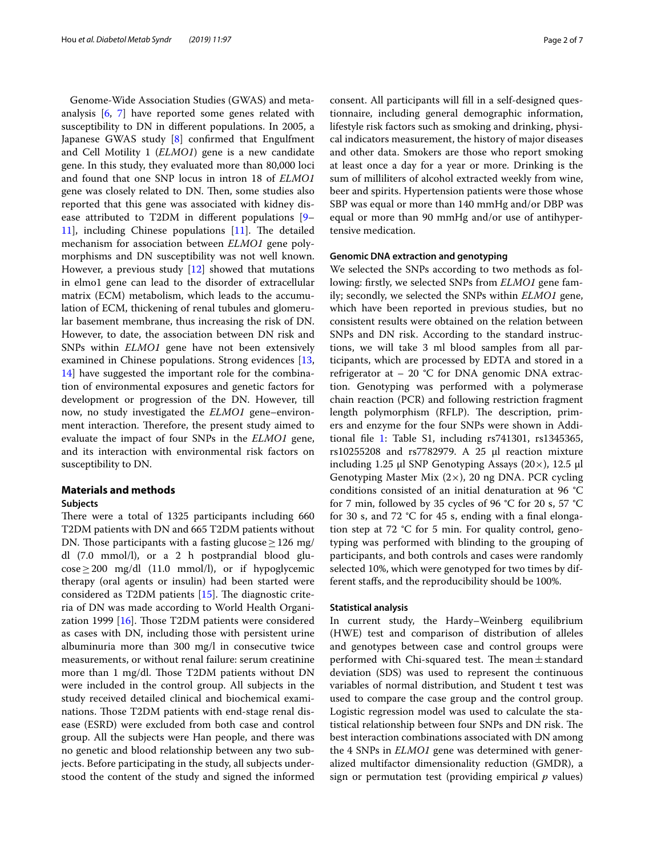Genome-Wide Association Studies (GWAS) and metaanalysis [\[6](#page-5-5), [7](#page-5-6)] have reported some genes related with susceptibility to DN in diferent populations. In 2005, a Japanese GWAS study [\[8\]](#page-5-7) confrmed that Engulfment and Cell Motility 1 (*ELMO1*) gene is a new candidate gene. In this study, they evaluated more than 80,000 loci and found that one SNP locus in intron 18 of *ELMO1* gene was closely related to DN. Then, some studies also reported that this gene was associated with kidney disease attributed to T2DM in diferent populations [[9–](#page-5-8)  $11$ ], including Chinese populations  $[11]$  $[11]$ . The detailed mechanism for association between *ELMO1* gene polymorphisms and DN susceptibility was not well known. However, a previous study [\[12](#page-5-10)] showed that mutations in elmo1 gene can lead to the disorder of extracellular matrix (ECM) metabolism, which leads to the accumulation of ECM, thickening of renal tubules and glomerular basement membrane, thus increasing the risk of DN. However, to date, the association between DN risk and SNPs within *ELMO1* gene have not been extensively examined in Chinese populations. Strong evidences [\[13](#page-5-11), [14\]](#page-5-12) have suggested the important role for the combination of environmental exposures and genetic factors for development or progression of the DN. However, till now, no study investigated the *ELMO1* gene–environment interaction. Therefore, the present study aimed to evaluate the impact of four SNPs in the *ELMO1* gene, and its interaction with environmental risk factors on susceptibility to DN.

# **Materials and methods**

## **Subjects**

There were a total of 1325 participants including 660 T2DM patients with DN and 665 T2DM patients without DN. Those participants with a fasting glucose  $\geq$  126 mg/ dl (7.0 mmol/l), or a 2 h postprandial blood glu- $\cos\epsilon \geq 200$  mg/dl (11.0 mmol/l), or if hypoglycemic therapy (oral agents or insulin) had been started were considered as T2DM patients  $[15]$ . The diagnostic criteria of DN was made according to World Health Organization 1999  $[16]$ . Those T2DM patients were considered as cases with DN, including those with persistent urine albuminuria more than 300 mg/l in consecutive twice measurements, or without renal failure: serum creatinine more than 1 mg/dl. Those T2DM patients without DN were included in the control group. All subjects in the study received detailed clinical and biochemical examinations. Those T2DM patients with end-stage renal disease (ESRD) were excluded from both case and control group. All the subjects were Han people, and there was no genetic and blood relationship between any two subjects. Before participating in the study, all subjects understood the content of the study and signed the informed consent. All participants will fll in a self-designed questionnaire, including general demographic information, lifestyle risk factors such as smoking and drinking, physical indicators measurement, the history of major diseases and other data. Smokers are those who report smoking at least once a day for a year or more. Drinking is the sum of milliliters of alcohol extracted weekly from wine, beer and spirits. Hypertension patients were those whose SBP was equal or more than 140 mmHg and/or DBP was equal or more than 90 mmHg and/or use of antihypertensive medication.

#### **Genomic DNA extraction and genotyping**

We selected the SNPs according to two methods as following: frstly, we selected SNPs from *ELMO1* gene family; secondly, we selected the SNPs within *ELMO1* gene, which have been reported in previous studies, but no consistent results were obtained on the relation between SNPs and DN risk. According to the standard instructions, we will take 3 ml blood samples from all participants, which are processed by EDTA and stored in a refrigerator at  $-20$  °C for DNA genomic DNA extraction. Genotyping was performed with a polymerase chain reaction (PCR) and following restriction fragment length polymorphism (RFLP). The description, primers and enzyme for the four SNPs were shown in Additional fle [1](#page-5-15): Table S1, including rs741301, rs1345365, rs10255208 and rs7782979. A 25 μl reaction mixture including 1.25 μl SNP Genotyping Assays (20 $\times$ ), 12.5 μl Genotyping Master Mix (2×), 20 ng DNA. PCR cycling conditions consisted of an initial denaturation at 96 °C for 7 min, followed by 35 cycles of 96 °C for 20 s, 57 °C for 30 s, and 72 °C for 45 s, ending with a fnal elongation step at  $72$  °C for 5 min. For quality control, genotyping was performed with blinding to the grouping of participants, and both controls and cases were randomly selected 10%, which were genotyped for two times by different stafs, and the reproducibility should be 100%.

#### **Statistical analysis**

In current study, the Hardy–Weinberg equilibrium (HWE) test and comparison of distribution of alleles and genotypes between case and control groups were performed with Chi-squared test. The mean $\pm$ standard deviation (SDS) was used to represent the continuous variables of normal distribution, and Student t test was used to compare the case group and the control group. Logistic regression model was used to calculate the statistical relationship between four SNPs and DN risk. The best interaction combinations associated with DN among the 4 SNPs in *ELMO1* gene was determined with generalized multifactor dimensionality reduction (GMDR), a sign or permutation test (providing empirical *p* values)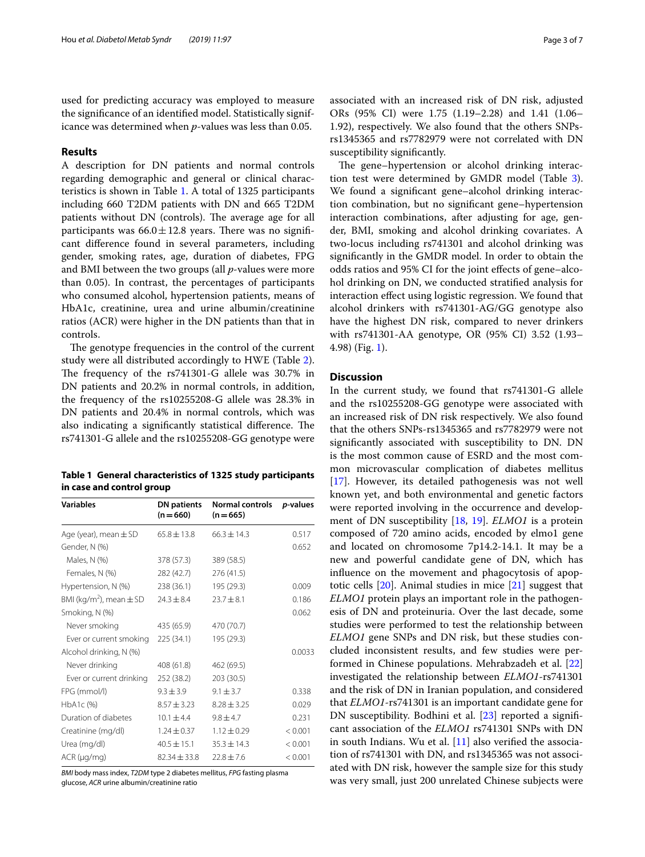used for predicting accuracy was employed to measure the signifcance of an identifed model. Statistically significance was determined when *p*-values was less than 0.05.

# **Results**

A description for DN patients and normal controls regarding demographic and general or clinical characteristics is shown in Table [1.](#page-2-0) A total of 1325 participants including 660 T2DM patients with DN and 665 T2DM patients without DN (controls). The average age for all participants was  $66.0 \pm 12.8$  years. There was no significant diference found in several parameters, including gender, smoking rates, age, duration of diabetes, FPG and BMI between the two groups (all *p*-values were more than 0.05). In contrast, the percentages of participants who consumed alcohol, hypertension patients, means of HbA1c, creatinine, urea and urine albumin/creatinine ratios (ACR) were higher in the DN patients than that in controls.

The genotype frequencies in the control of the current study were all distributed accordingly to HWE (Table [2](#page-3-0)). The frequency of the rs741301-G allele was 30.7% in DN patients and 20.2% in normal controls, in addition, the frequency of the rs10255208-G allele was 28.3% in DN patients and 20.4% in normal controls, which was also indicating a significantly statistical difference. The rs741301-G allele and the rs10255208-GG genotype were

<span id="page-2-0"></span>**Table 1 General characteristics of 1325 study participants in case and control group**

| <b>Variables</b>                        | <b>DN</b> patients<br>$(n=660)$ | <b>Normal controls</b><br>$(n=665)$ | <i>p</i> -values |
|-----------------------------------------|---------------------------------|-------------------------------------|------------------|
| Age (year), mean $\pm$ SD               | $65.8 \pm 13.8$                 | $66.3 + 14.3$                       | 0.517            |
| Gender, N (%)                           |                                 |                                     | 0.652            |
| Males, N (%)                            | 378 (57.3)                      | 389 (58.5)                          |                  |
| Females, N (%)                          | 282 (42.7)                      | 276 (41.5)                          |                  |
| Hypertension, N (%)                     | 238 (36.1)                      | 195 (29.3)                          | 0.009            |
| BMI (kg/m <sup>2</sup> ), mean $\pm$ SD | $24.3 \pm 8.4$                  | $23.7 \pm 8.1$                      | 0.186            |
| Smoking, N (%)                          |                                 |                                     | 0.062            |
| Never smoking                           | 435 (65.9)                      | 470 (70.7)                          |                  |
| Ever or current smoking                 | 225 (34.1)                      | 195 (29.3)                          |                  |
| Alcohol drinking, N (%)                 |                                 |                                     | 0.0033           |
| Never drinking                          | 408 (61.8)                      | 462 (69.5)                          |                  |
| Ever or current drinking                | 252 (38.2)                      | 203 (30.5)                          |                  |
| FPG (mmol/l)                            | $9.3 + 3.9$                     | $9.1 + 3.7$                         | 0.338            |
| HbA1c (%)                               | $8.57 \pm 3.23$                 | $8.28 \pm 3.25$                     | 0.029            |
| Duration of diabetes                    | $10.1 + 4.4$                    | $9.8 \pm 4.7$                       | 0.231            |
| Creatinine (mg/dl)                      | $1.24 + 0.37$                   | $1.12 \pm 0.29$                     | < 0.001          |
| Urea (mg/dl)                            | $40.5 \pm 15.1$                 | $35.3 \pm 14.3$                     | < 0.001          |
| $ACR$ ( $\mu$ g/mg)                     | $82.34 + 33.8$                  | $72.8 + 7.6$                        | < 0.001          |

*BMI* body mass index, *T2DM* type 2 diabetes mellitus, *FPG* fasting plasma glucose, *ACR* urine albumin/creatinine ratio

associated with an increased risk of DN risk, adjusted ORs (95% CI) were 1.75 (1.19–2.28) and 1.41 (1.06– 1.92), respectively. We also found that the others SNPsrs1345365 and rs7782979 were not correlated with DN susceptibility signifcantly.

The gene–hypertension or alcohol drinking interaction test were determined by GMDR model (Table [3](#page-3-1)). We found a signifcant gene–alcohol drinking interaction combination, but no signifcant gene–hypertension interaction combinations, after adjusting for age, gender, BMI, smoking and alcohol drinking covariates. A two-locus including rs741301 and alcohol drinking was signifcantly in the GMDR model. In order to obtain the odds ratios and 95% CI for the joint efects of gene–alcohol drinking on DN, we conducted stratifed analysis for interaction efect using logistic regression. We found that alcohol drinkers with rs741301-AG/GG genotype also have the highest DN risk, compared to never drinkers with rs741301-AA genotype, OR (95% CI) 3.52 (1.93– 4.98) (Fig. [1](#page-4-0)).

# **Discussion**

In the current study, we found that rs741301-G allele and the rs10255208-GG genotype were associated with an increased risk of DN risk respectively. We also found that the others SNPs-rs1345365 and rs7782979 were not signifcantly associated with susceptibility to DN. DN is the most common cause of ESRD and the most common microvascular complication of diabetes mellitus [[17\]](#page-5-16). However, its detailed pathogenesis was not well known yet, and both environmental and genetic factors were reported involving in the occurrence and development of DN susceptibility [\[18,](#page-5-17) [19\]](#page-5-18). *ELMO1* is a protein composed of 720 amino acids, encoded by elmo1 gene and located on chromosome 7p14.2-14.1. It may be a new and powerful candidate gene of DN, which has infuence on the movement and phagocytosis of apoptotic cells [[20\]](#page-5-19). Animal studies in mice [[21](#page-5-20)] suggest that *ELMO1* protein plays an important role in the pathogenesis of DN and proteinuria. Over the last decade, some studies were performed to test the relationship between *ELMO1* gene SNPs and DN risk, but these studies concluded inconsistent results, and few studies were performed in Chinese populations. Mehrabzadeh et al. [[22](#page-5-21)] investigated the relationship between *ELMO1*-rs741301 and the risk of DN in Iranian population, and considered that *ELMO1*-rs741301 is an important candidate gene for DN susceptibility. Bodhini et al. [\[23\]](#page-5-22) reported a significant association of the *ELMO1* rs741301 SNPs with DN in south Indians. Wu et al. [\[11](#page-5-9)] also verifed the association of rs741301 with DN, and rs1345365 was not associated with DN risk, however the sample size for this study was very small, just 200 unrelated Chinese subjects were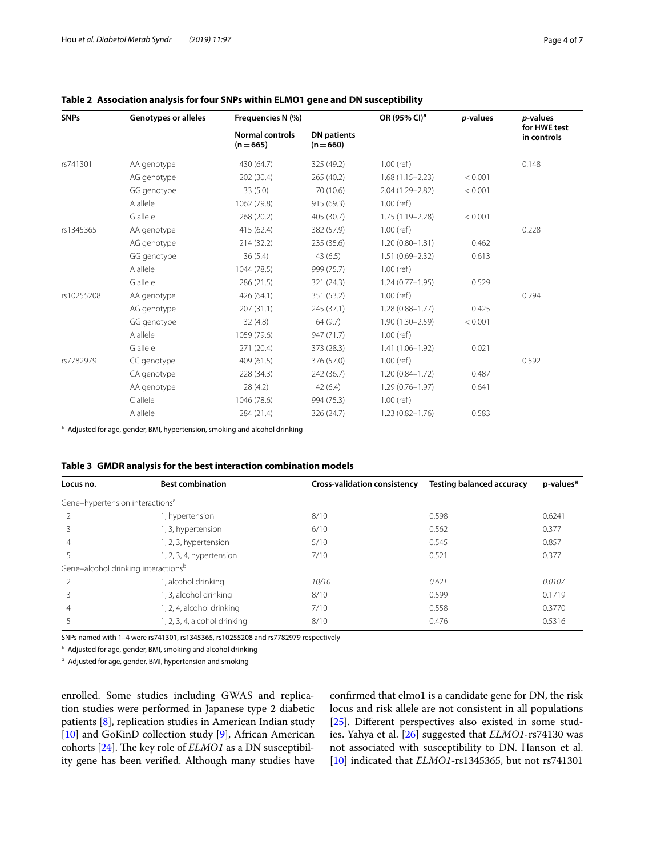| <b>SNPs</b> | <b>Genotypes or alleles</b> | Frequencies N (%)                     |                                 | OR (95% CI) <sup>a</sup> | p-values | <i>p</i> -values            |
|-------------|-----------------------------|---------------------------------------|---------------------------------|--------------------------|----------|-----------------------------|
|             |                             | <b>Normal controls</b><br>$(n = 665)$ | <b>DN</b> patients<br>$(n=660)$ |                          |          | for HWE test<br>in controls |
| rs741301    | AA genotype                 | 430 (64.7)                            | 325 (49.2)                      | $1.00$ (ref)             |          | 0.148                       |
|             | AG genotype                 | 202 (30.4)                            | 265(40.2)                       | $1.68(1.15 - 2.23)$      | < 0.001  |                             |
|             | GG genotype                 | 33(5.0)                               | 70 (10.6)                       | 2.04 (1.29-2.82)         | < 0.001  |                             |
|             | A allele                    | 1062 (79.8)                           | 915 (69.3)                      | $1.00$ (ref)             |          |                             |
|             | G allele                    | 268 (20.2)                            | 405 (30.7)                      | $1.75(1.19 - 2.28)$      | < 0.001  |                             |
| rs1345365   | AA genotype                 | 415 (62.4)                            | 382 (57.9)                      | $1.00$ (ref)             |          | 0.228                       |
|             | AG genotype                 | 214 (32.2)                            | 235 (35.6)                      | $1.20(0.80 - 1.81)$      | 0.462    |                             |
|             | GG genotype                 | 36(5.4)                               | 43(6.5)                         | $1.51(0.69 - 2.32)$      | 0.613    |                             |
|             | A allele                    | 1044 (78.5)                           | 999 (75.7)                      | $1.00$ (ref)             |          |                             |
|             | G allele                    | 286 (21.5)                            | 321 (24.3)                      | $1.24(0.77 - 1.95)$      | 0.529    |                             |
| rs10255208  | AA genotype                 | 426 (64.1)                            | 351 (53.2)                      | $1.00$ (ref)             |          | 0.294                       |
|             | AG genotype                 | 207(31.1)                             | 245 (37.1)                      | $1.28(0.88 - 1.77)$      | 0.425    |                             |
|             | GG genotype                 | 32(4.8)                               | 64 (9.7)                        | $1.90(1.30 - 2.59)$      | < 0.001  |                             |
|             | A allele                    | 1059 (79.6)                           | 947(71.7)                       | $1.00$ (ref)             |          |                             |
|             | G allele                    | 271 (20.4)                            | 373 (28.3)                      | $1.41(1.06 - 1.92)$      | 0.021    |                             |
| rs7782979   | CC genotype                 | 409 (61.5)                            | 376 (57.0)                      | $1.00$ (ref)             |          | 0.592                       |
|             | CA genotype                 | 228 (34.3)                            | 242 (36.7)                      | $1.20(0.84 - 1.72)$      | 0.487    |                             |
|             | AA genotype                 | 28 (4.2)                              | 42(6.4)                         | $1.29(0.76 - 1.97)$      | 0.641    |                             |
|             | C allele                    | 1046 (78.6)                           | 994 (75.3)                      | $1.00$ (ref)             |          |                             |
|             | A allele                    | 284 (21.4)                            | 326 (24.7)                      | $1.23(0.82 - 1.76)$      | 0.583    |                             |

# <span id="page-3-0"></span>**Table 2 Association analysis for four SNPs within ELMO1 gene and DN susceptibility**

<sup>a</sup> Adjusted for age, gender, BMI, hypertension, smoking and alcohol drinking

## <span id="page-3-1"></span>**Table 3 GMDR analysis for the best interaction combination models**

| Locus no.                                       | <b>Best combination</b>      | <b>Cross-validation consistency</b> | <b>Testing balanced accuracy</b> | p-values* |
|-------------------------------------------------|------------------------------|-------------------------------------|----------------------------------|-----------|
| Gene-hypertension interactions <sup>a</sup>     |                              |                                     |                                  |           |
|                                                 | I, hypertension              | 8/10                                | 0.598                            | 0.6241    |
| ζ                                               | 1, 3, hypertension           | 6/10                                | 0.562                            | 0.377     |
| 4                                               | 1, 2, 3, hypertension        | 5/10                                | 0.545                            | 0.857     |
|                                                 | 1, 2, 3, 4, hypertension     | 7/10                                | 0.521                            | 0.377     |
| Gene-alcohol drinking interactions <sup>b</sup> |                              |                                     |                                  |           |
|                                                 | , alcohol drinking           | 10/10                               | 0.621                            | 0.0107    |
|                                                 | 1, 3, alcohol drinking       | 8/10                                | 0.599                            | 0.1719    |
| 4                                               | I, 2, 4, alcohol drinking    | 7/10                                | 0.558                            | 0.3770    |
|                                                 | 1, 2, 3, 4, alcohol drinking | 8/10                                | 0.476                            | 0.5316    |

SNPs named with 1–4 were rs741301, rs1345365, rs10255208 and rs7782979 respectively

<sup>a</sup> Adjusted for age, gender, BMI, smoking and alcohol drinking

<sup>b</sup> Adjusted for age, gender, BMI, hypertension and smoking

enrolled. Some studies including GWAS and replication studies were performed in Japanese type 2 diabetic patients [\[8\]](#page-5-7), replication studies in American Indian study [[10\]](#page-5-23) and GoKinD collection study [[9\]](#page-5-8), African American cohorts [\[24](#page-5-24)]. The key role of *ELMO1* as a DN susceptibility gene has been verifed. Although many studies have confrmed that elmo1 is a candidate gene for DN, the risk locus and risk allele are not consistent in all populations [[25\]](#page-5-25). Diferent perspectives also existed in some studies. Yahya et al. [\[26\]](#page-5-26) suggested that *ELMO1*-rs74130 was not associated with susceptibility to DN. Hanson et al. [[10\]](#page-5-23) indicated that *ELMO1*-rs1345365, but not rs741301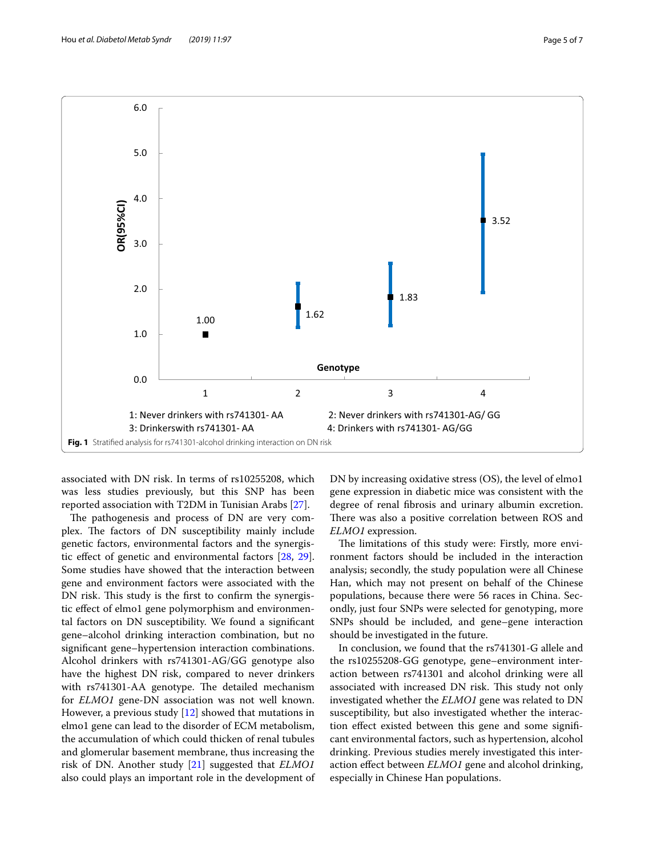



<span id="page-4-0"></span>associated with DN risk. In terms of rs10255208, which was less studies previously, but this SNP has been reported association with T2DM in Tunisian Arabs [[27\]](#page-5-27).

The pathogenesis and process of DN are very complex. The factors of DN susceptibility mainly include genetic factors, environmental factors and the synergistic efect of genetic and environmental factors [\[28](#page-6-0), [29](#page-6-1)]. Some studies have showed that the interaction between gene and environment factors were associated with the DN risk. This study is the first to confirm the synergistic efect of elmo1 gene polymorphism and environmental factors on DN susceptibility. We found a signifcant gene–alcohol drinking interaction combination, but no signifcant gene–hypertension interaction combinations. Alcohol drinkers with rs741301-AG/GG genotype also have the highest DN risk, compared to never drinkers with rs741301-AA genotype. The detailed mechanism for *ELMO1* gene-DN association was not well known. However, a previous study [\[12](#page-5-10)] showed that mutations in elmo1 gene can lead to the disorder of ECM metabolism, the accumulation of which could thicken of renal tubules and glomerular basement membrane, thus increasing the risk of DN. Another study [[21\]](#page-5-20) suggested that *ELMO1* also could plays an important role in the development of DN by increasing oxidative stress (OS), the level of elmo1 gene expression in diabetic mice was consistent with the degree of renal fbrosis and urinary albumin excretion. There was also a positive correlation between ROS and *ELMO1* expression.

The limitations of this study were: Firstly, more environment factors should be included in the interaction analysis; secondly, the study population were all Chinese Han, which may not present on behalf of the Chinese populations, because there were 56 races in China. Secondly, just four SNPs were selected for genotyping, more SNPs should be included, and gene–gene interaction should be investigated in the future.

In conclusion, we found that the rs741301-G allele and the rs10255208-GG genotype, gene–environment interaction between rs741301 and alcohol drinking were all associated with increased DN risk. This study not only investigated whether the *ELMO1* gene was related to DN susceptibility, but also investigated whether the interaction efect existed between this gene and some signifcant environmental factors, such as hypertension, alcohol drinking. Previous studies merely investigated this interaction efect between *ELMO1* gene and alcohol drinking, especially in Chinese Han populations.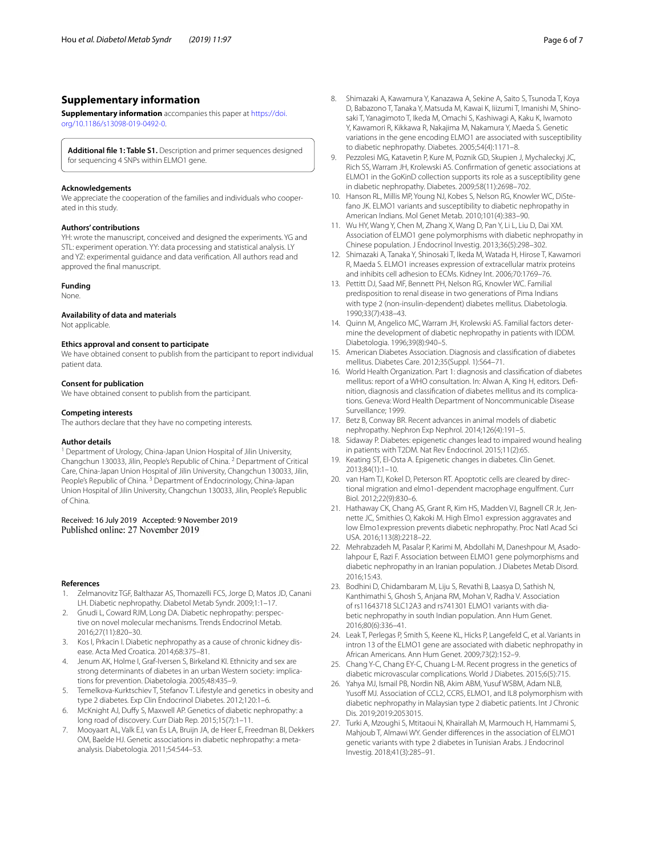## **Supplementary information**

**Supplementary information** accompanies this paper at [https://doi.](https://doi.org/10.1186/s13098-019-0492-0) [org/10.1186/s13098-019-0492-0.](https://doi.org/10.1186/s13098-019-0492-0)

<span id="page-5-15"></span>**Additional fle 1: Table S1.** Description and primer sequences designed for sequencing 4 SNPs within ELMO1 gene.

#### **Acknowledgements**

We appreciate the cooperation of the families and individuals who cooperated in this study.

#### **Authors' contributions**

YH: wrote the manuscript, conceived and designed the experiments. YG and STL: experiment operation. YY: data processing and statistical analysis. LY and YZ: experimental guidance and data verifcation. All authors read and approved the fnal manuscript.

#### **Funding**

None.

#### **Availability of data and materials**

Not applicable.

#### **Ethics approval and consent to participate**

We have obtained consent to publish from the participant to report individual patient data.

#### **Consent for publication**

We have obtained consent to publish from the participant.

#### **Competing interests**

The authors declare that they have no competing interests.

#### **Author details**

<sup>1</sup> Department of Urology, China-Japan Union Hospital of Jilin University, Changchun 130033, Jilin, People's Republic of China. 2 Department of Critical Care, China-Japan Union Hospital of Jilin University, Changchun 130033, Jilin, People's Republic of China.<sup>3</sup> Department of Endocrinology, China-Japan Union Hospital of Jilin University, Changchun 130033, Jilin, People's Republic of China.

#### Received: 16 July 2019 Accepted: 9 November 2019 Published online: 27 November 2019

#### **References**

- <span id="page-5-0"></span>Zelmanovitz TGF, Balthazar AS, Thomazelli FCS, Jorge D, Matos JD, Canani LH. Diabetic nephropathy. Diabetol Metab Syndr. 2009;1:1–17.
- <span id="page-5-1"></span>2. Gnudi L, Coward RJM, Long DA. Diabetic nephropathy: perspective on novel molecular mechanisms. Trends Endocrinol Metab. 2016;27(11):820–30.
- <span id="page-5-2"></span>3. Kos I, Prkacin I. Diabetic nephropathy as a cause of chronic kidney disease. Acta Med Croatica. 2014;68:375–81.
- <span id="page-5-3"></span>4. Jenum AK, Holme I, Graf-Iversen S, Birkeland KI. Ethnicity and sex are strong determinants of diabetes in an urban Western society: implications for prevention. Diabetologia. 2005;48:435–9.
- <span id="page-5-4"></span>5. Temelkova-Kurktschiev T, Stefanov T. Lifestyle and genetics in obesity and type 2 diabetes. Exp Clin Endocrinol Diabetes. 2012;120:1–6.
- <span id="page-5-5"></span>6. McKnight AJ, Dufy S, Maxwell AP. Genetics of diabetic nephropathy: a long road of discovery. Curr Diab Rep. 2015;15(7):1–11.
- <span id="page-5-6"></span>7. Mooyaart AL, Valk EJ, van Es LA, Bruijn JA, de Heer E, Freedman BI, Dekkers OM, Baelde HJ. Genetic associations in diabetic nephropathy: a metaanalysis. Diabetologia. 2011;54:544–53.
- <span id="page-5-7"></span>8. Shimazaki A, Kawamura Y, Kanazawa A, Sekine A, Saito S, Tsunoda T, Koya D, Babazono T, Tanaka Y, Matsuda M, Kawai K, Iiizumi T, Imanishi M, Shinosaki T, Yanagimoto T, Ikeda M, Omachi S, Kashiwagi A, Kaku K, Iwamoto Y, Kawamori R, Kikkawa R, Nakajima M, Nakamura Y, Maeda S. Genetic variations in the gene encoding ELMO1 are associated with susceptibility to diabetic nephropathy. Diabetes. 2005;54(4):1171–8.
- <span id="page-5-8"></span>9. Pezzolesi MG, Katavetin P, Kure M, Poznik GD, Skupien J, Mychaleckyj JC, Rich SS, Warram JH, Krolewski AS. Confrmation of genetic associations at ELMO1 in the GoKinD collection supports its role as a susceptibility gene in diabetic nephropathy. Diabetes. 2009;58(11):2698–702.
- <span id="page-5-23"></span>10. Hanson RL, Millis MP, Young NJ, Kobes S, Nelson RG, Knowler WC, DiStefano JK. ELMO1 variants and susceptibility to diabetic nephropathy in American Indians. Mol Genet Metab. 2010;101(4):383–90.
- <span id="page-5-9"></span>11. Wu HY, Wang Y, Chen M, Zhang X, Wang D, Pan Y, Li L, Liu D, Dai XM. Association of ELMO1 gene polymorphisms with diabetic nephropathy in Chinese population. J Endocrinol Investig. 2013;36(5):298–302.
- <span id="page-5-10"></span>12. Shimazaki A, Tanaka Y, Shinosaki T, Ikeda M, Watada H, Hirose T, Kawamori R, Maeda S. ELMO1 increases expression of extracellular matrix proteins and inhibits cell adhesion to ECMs. Kidney Int. 2006;70:1769–76.
- <span id="page-5-11"></span>13. Pettitt DJ, Saad MF, Bennett PH, Nelson RG, Knowler WC. Familial predisposition to renal disease in two generations of Pima Indians with type 2 (non-insulin-dependent) diabetes mellitus. Diabetologia. 1990;33(7):438–43.
- <span id="page-5-12"></span>14. Quinn M, Angelico MC, Warram JH, Krolewski AS. Familial factors determine the development of diabetic nephropathy in patients with IDDM. Diabetologia. 1996;39(8):940–5.
- <span id="page-5-13"></span>15. American Diabetes Association. Diagnosis and classifcation of diabetes mellitus. Diabetes Care. 2012;35(Suppl. 1):S64–71.
- <span id="page-5-14"></span>16. World Health Organization. Part 1: diagnosis and classifcation of diabetes mellitus: report of a WHO consultation. In: Alwan A, King H, editors. Definition, diagnosis and classification of diabetes mellitus and its complications. Geneva: Word Health Department of Noncommunicable Disease Surveillance; 1999.
- <span id="page-5-16"></span>17. Betz B, Conway BR. Recent advances in animal models of diabetic nephropathy. Nephron Exp Nephrol. 2014;126(4):191–5.
- <span id="page-5-17"></span>18. Sidaway P. Diabetes: epigenetic changes lead to impaired wound healing in patients with T2DM. Nat Rev Endocrinol. 2015;11(2):65.
- <span id="page-5-18"></span>19. Keating ST, El-Osta A. Epigenetic changes in diabetes. Clin Genet. 2013;84(1):1–10.
- <span id="page-5-19"></span>20. van Ham TJ, Kokel D, Peterson RT. Apoptotic cells are cleared by directional migration and elmo1-dependent macrophage engulfment. Curr Biol. 2012;22(9):830–6.
- <span id="page-5-20"></span>21. Hathaway CK, Chang AS, Grant R, Kim HS, Madden VJ, Bagnell CR Jr, Jennette JC, Smithies O, Kakoki M. High Elmo1 expression aggravates and low Elmo1expression prevents diabetic nephropathy. Proc Natl Acad Sci USA. 2016;113(8):2218–22.
- <span id="page-5-21"></span>22. Mehrabzadeh M, Pasalar P, Karimi M, Abdollahi M, Daneshpour M, Asadolahpour E, Razi F. Association between ELMO1 gene polymorphisms and diabetic nephropathy in an Iranian population. J Diabetes Metab Disord. 2016;15:43.
- <span id="page-5-22"></span>23. Bodhini D, Chidambaram M, Liju S, Revathi B, Laasya D, Sathish N, Kanthimathi S, Ghosh S, Anjana RM, Mohan V, Radha V. Association of rs11643718 SLC12A3 and rs741301 ELMO1 variants with dia‑ betic nephropathy in south Indian population. Ann Hum Genet. 2016;80(6):336–41.
- <span id="page-5-24"></span>24. Leak T, Perlegas P, Smith S, Keene KL, Hicks P, Langefeld C, et al. Variants in intron 13 of the ELMO1 gene are associated with diabetic nephropathy in African Americans. Ann Hum Genet. 2009;73(2):152–9.
- <span id="page-5-25"></span>25. Chang Y-C, Chang EY-C, Chuang L-M. Recent progress in the genetics of diabetic microvascular complications. World J Diabetes. 2015;6(5):715.
- <span id="page-5-26"></span>26. Yahya MJ, Ismail PB, Nordin NB, Akim ABM, Yusuf WSBM, Adam NLB, Yusoff MJ. Association of CCL2, CCR5, ELMO1, and IL8 polymorphism with diabetic nephropathy in Malaysian type 2 diabetic patients. Int J Chronic Dis. 2019;2019:2053015.
- <span id="page-5-27"></span>27. Turki A, Mzoughi S, Mtitaoui N, Khairallah M, Marmouch H, Hammami S, Mahjoub T, Almawi WY. Gender diferences in the association of ELMO1 genetic variants with type 2 diabetes in Tunisian Arabs. J Endocrinol Investig. 2018;41(3):285–91.